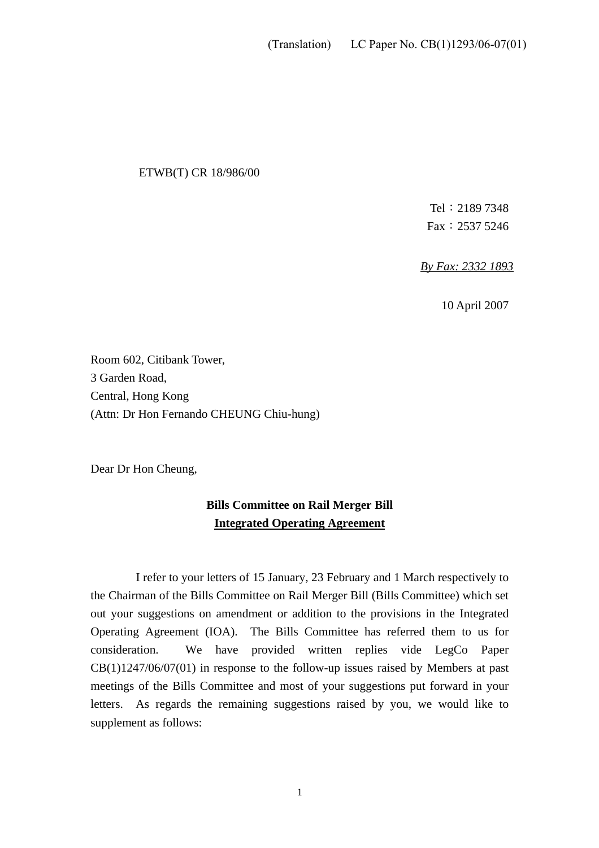#### ETWB(T) CR 18/986/00

Tel:2189 7348 Fax:2537 5246

*By Fax: 2332 1893* 

10 April 2007

Room 602, Citibank Tower, 3 Garden Road, Central, Hong Kong (Attn: Dr Hon Fernando CHEUNG Chiu-hung)

Dear Dr Hon Cheung,

### **Bills Committee on Rail Merger Bill Integrated Operating Agreement**

 I refer to your letters of 15 January, 23 February and 1 March respectively to the Chairman of the Bills Committee on Rail Merger Bill (Bills Committee) which set out your suggestions on amendment or addition to the provisions in the Integrated Operating Agreement (IOA). The Bills Committee has referred them to us for consideration. We have provided written replies vide LegCo Paper  $CB(1)1247/06/07(01)$  in response to the follow-up issues raised by Members at past meetings of the Bills Committee and most of your suggestions put forward in your letters. As regards the remaining suggestions raised by you, we would like to supplement as follows: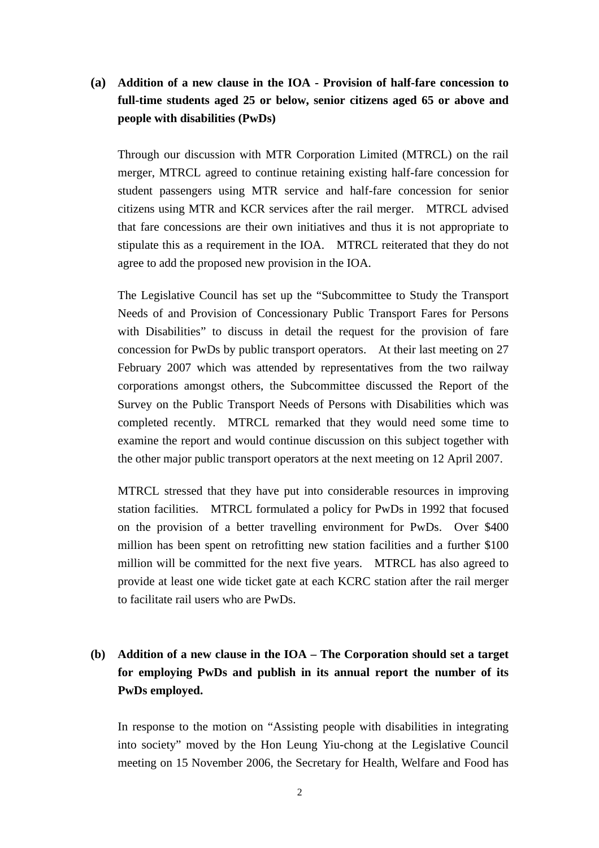## **(a) Addition of a new clause in the IOA - Provision of half-fare concession to full-time students aged 25 or below, senior citizens aged 65 or above and people with disabilities (PwDs)**

 Through our discussion with MTR Corporation Limited (MTRCL) on the rail merger, MTRCL agreed to continue retaining existing half-fare concession for student passengers using MTR service and half-fare concession for senior citizens using MTR and KCR services after the rail merger. MTRCL advised that fare concessions are their own initiatives and thus it is not appropriate to stipulate this as a requirement in the IOA. MTRCL reiterated that they do not agree to add the proposed new provision in the IOA.

The Legislative Council has set up the "Subcommittee to Study the Transport Needs of and Provision of Concessionary Public Transport Fares for Persons with Disabilities" to discuss in detail the request for the provision of fare concession for PwDs by public transport operators. At their last meeting on 27 February 2007 which was attended by representatives from the two railway corporations amongst others, the Subcommittee discussed the Report of the Survey on the Public Transport Needs of Persons with Disabilities which was completed recently. MTRCL remarked that they would need some time to examine the report and would continue discussion on this subject together with the other major public transport operators at the next meeting on 12 April 2007.

MTRCL stressed that they have put into considerable resources in improving station facilities. MTRCL formulated a policy for PwDs in 1992 that focused on the provision of a better travelling environment for PwDs. Over \$400 million has been spent on retrofitting new station facilities and a further \$100 million will be committed for the next five years. MTRCL has also agreed to provide at least one wide ticket gate at each KCRC station after the rail merger to facilitate rail users who are PwDs.

# **(b) Addition of a new clause in the IOA – The Corporation should set a target for employing PwDs and publish in its annual report the number of its PwDs employed.**

In response to the motion on "Assisting people with disabilities in integrating into society" moved by the Hon Leung Yiu-chong at the Legislative Council meeting on 15 November 2006, the Secretary for Health, Welfare and Food has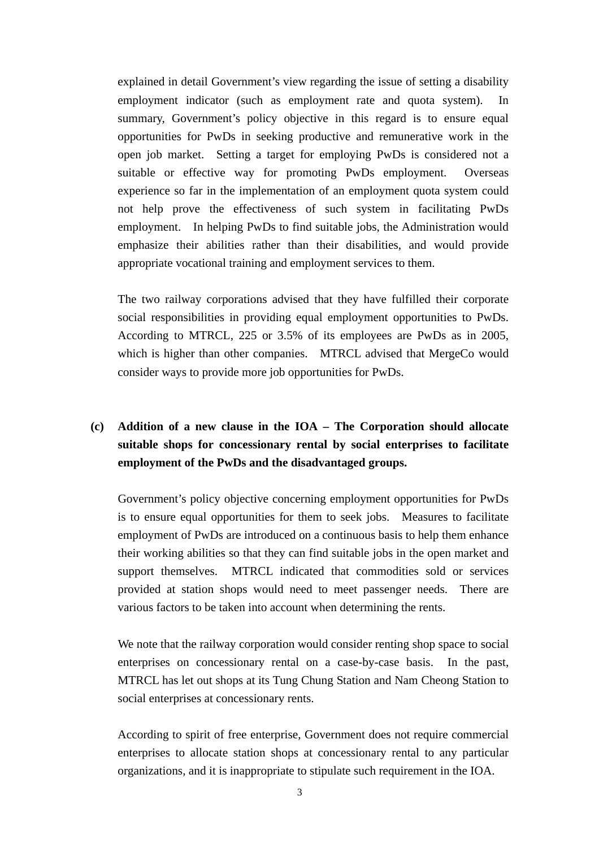explained in detail Government's view regarding the issue of setting a disability employment indicator (such as employment rate and quota system). In summary, Government's policy objective in this regard is to ensure equal opportunities for PwDs in seeking productive and remunerative work in the open job market. Setting a target for employing PwDs is considered not a suitable or effective way for promoting PwDs employment. Overseas experience so far in the implementation of an employment quota system could not help prove the effectiveness of such system in facilitating PwDs employment. In helping PwDs to find suitable jobs, the Administration would emphasize their abilities rather than their disabilities, and would provide appropriate vocational training and employment services to them.

The two railway corporations advised that they have fulfilled their corporate social responsibilities in providing equal employment opportunities to PwDs. According to MTRCL, 225 or 3.5% of its employees are PwDs as in 2005, which is higher than other companies. MTRCL advised that MergeCo would consider ways to provide more job opportunities for PwDs.

# **(c) Addition of a new clause in the IOA – The Corporation should allocate suitable shops for concessionary rental by social enterprises to facilitate employment of the PwDs and the disadvantaged groups.**

Government's policy objective concerning employment opportunities for PwDs is to ensure equal opportunities for them to seek jobs. Measures to facilitate employment of PwDs are introduced on a continuous basis to help them enhance their working abilities so that they can find suitable jobs in the open market and support themselves. MTRCL indicated that commodities sold or services provided at station shops would need to meet passenger needs. There are various factors to be taken into account when determining the rents.

We note that the railway corporation would consider renting shop space to social enterprises on concessionary rental on a case-by-case basis. In the past, MTRCL has let out shops at its Tung Chung Station and Nam Cheong Station to social enterprises at concessionary rents.

According to spirit of free enterprise, Government does not require commercial enterprises to allocate station shops at concessionary rental to any particular organizations, and it is inappropriate to stipulate such requirement in the IOA.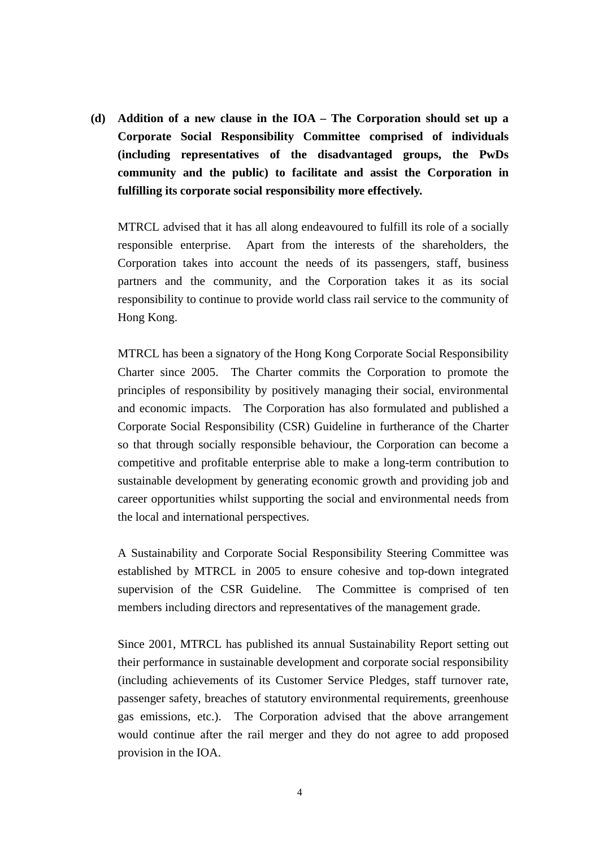**(d) Addition of a new clause in the IOA – The Corporation should set up a Corporate Social Responsibility Committee comprised of individuals (including representatives of the disadvantaged groups, the PwDs community and the public) to facilitate and assist the Corporation in fulfilling its corporate social responsibility more effectively.** 

MTRCL advised that it has all along endeavoured to fulfill its role of a socially responsible enterprise. Apart from the interests of the shareholders, the Corporation takes into account the needs of its passengers, staff, business partners and the community, and the Corporation takes it as its social responsibility to continue to provide world class rail service to the community of Hong Kong.

MTRCL has been a signatory of the Hong Kong Corporate Social Responsibility Charter since 2005. The Charter commits the Corporation to promote the principles of responsibility by positively managing their social, environmental and economic impacts. The Corporation has also formulated and published a Corporate Social Responsibility (CSR) Guideline in furtherance of the Charter so that through socially responsible behaviour, the Corporation can become a competitive and profitable enterprise able to make a long-term contribution to sustainable development by generating economic growth and providing job and career opportunities whilst supporting the social and environmental needs from the local and international perspectives.

A Sustainability and Corporate Social Responsibility Steering Committee was established by MTRCL in 2005 to ensure cohesive and top-down integrated supervision of the CSR Guideline. The Committee is comprised of ten members including directors and representatives of the management grade.

Since 2001, MTRCL has published its annual Sustainability Report setting out their performance in sustainable development and corporate social responsibility (including achievements of its Customer Service Pledges, staff turnover rate, passenger safety, breaches of statutory environmental requirements, greenhouse gas emissions, etc.). The Corporation advised that the above arrangement would continue after the rail merger and they do not agree to add proposed provision in the IOA.